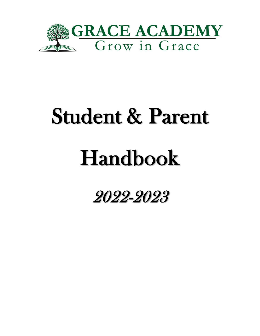

# Student & Parent

## Handbook

2022-2023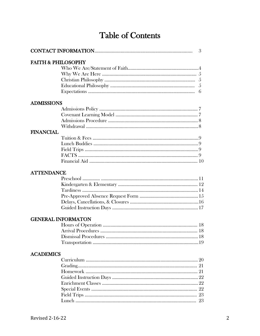## Table of Contents

| 3                             |                           |  |
|-------------------------------|---------------------------|--|
| <b>FAITH &amp; PHILOSOPHY</b> |                           |  |
|                               |                           |  |
|                               |                           |  |
|                               |                           |  |
|                               |                           |  |
|                               |                           |  |
| <b>ADMISSIONS</b>             |                           |  |
|                               |                           |  |
|                               |                           |  |
|                               |                           |  |
|                               |                           |  |
| <b>FINANCIAL</b>              |                           |  |
|                               |                           |  |
|                               |                           |  |
|                               |                           |  |
|                               |                           |  |
|                               |                           |  |
|                               |                           |  |
| <b>ATTENDANCE</b>             |                           |  |
|                               |                           |  |
|                               |                           |  |
|                               |                           |  |
|                               |                           |  |
|                               |                           |  |
|                               |                           |  |
|                               |                           |  |
|                               | <b>GENERAL INFORMATON</b> |  |
|                               |                           |  |
|                               |                           |  |
|                               |                           |  |
|                               |                           |  |
| <b>ACADEMICS</b>              |                           |  |
|                               |                           |  |
|                               |                           |  |
|                               |                           |  |
|                               |                           |  |
|                               |                           |  |
|                               |                           |  |
|                               |                           |  |
|                               |                           |  |
|                               |                           |  |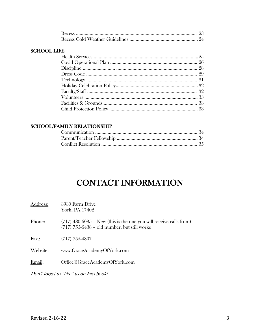#### SCHOOL LIFE

#### SCHOOL/FAMILY RELATIONSHIP

## CONTACT INFORMATION

| Address: | 3930 Farm Drive<br>York, PA 17402                                                                                      |
|----------|------------------------------------------------------------------------------------------------------------------------|
| Phone:   | $(717)$ 430-6085 – New (this is the one you will receive calls from)<br>$(717)$ 755-6438 – old number, but still works |
| Fax.:    | $(717)$ 755-4807                                                                                                       |
| Website: | www.GraceAcademyOfYork.com                                                                                             |
| Email:   | Office@GraceAcademyOfYork.com                                                                                          |

Don't forget to "like" us on Facebook!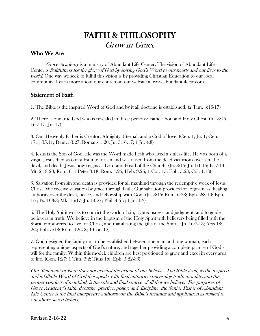## FAITH & PHILOSOPHY Grow in Grace

#### Who We Are

Grace Academy is a ministry of Abundant Life Center. The vision of Abundant Life Center is fruitfulness for the glory of God by sowing God's Word to our hearts and our lives to the world. One way we seek to fulfill this vision is by providing Christian Education to our local community. Learn more about our church on our website at www.abundantlifectr.com.

#### Statement of Faith

1. The Bible is the inspired Word of God and by it all doctrine is established. (2 Tim. 3:16-17)

2. There is one true God who is revealed in three persons: Father, Son and Holy Ghost. (Jn. 3:16, 16:7-15; Jn. 17)

3. Our Heavenly Father is Creator, Almighty, Eternal, and a God of love. (Gen. 1; Jn. 1; Gen. 17:1, 35:11; Deut. 33:27; Romans 1:20; Jn. 3:16,17; 1 Jn. 4:8)

4. Jesus is the Son of God. He was the Word made flesh who lived a sinless life. He was born of a virgin. Jesus died as our substitute for sin and was raised from the dead victorious over sin, the devil, and death. Jesus now reigns as Lord and Head of the Church. (Jn. 3:16; Jn. 1:1-15; Is. 7:14, Mt. 2:18-23, Rom. 6; 1 Peter 3:18; Rom. 4:25; Heb. 9:26; 1 Cor. 15; Eph. 5:23; Col. 1:18)

5. Salvation from sin and death is provided for all mankind through the redemptive work of Jesus Christ. We receive salvation by grace through faith. Our salvation provides for forgiveness, healing, authority over the devil, peace, and fellowship with God. (Jn. 3:16; Rom. 6:23; Eph. 2:8-10; Eph. 1:7; Ps. 103:3; Mk. 16:17; Jn. 14:27; Phil. 4:6-7; 1 Jn. 1:3)

6. The Holy Spirit works to convict the world of sin, righteousness, and judgment, and to guide believers in truth. We believe in the baptism of the Holy Spirit with believers being filled with the Spirit, empowered to live for Christ, and manifesting the gifts of the Spirit. (Jn. 16:7-13; Acts 1:8, 2:4; Eph. 5:18; Rom. 12:4-8; 1 Cor. 12)

7. God designed the family unit to be established between one man and one woman, each representing unique aspects of God's nature, and together providing a complete picture of God's will for the family. Within this model, children are best positioned to grow and excel in every area of life. (Gen. 1:27; 1 Tim. 3:2; Titus 1:6; Eph. 5:22-33)

Our Statement of Faith does not exhaust the extent of our beliefs. The Bible itself, as the inspired and infallible Word of God that speaks with final authority concerning truth, morality, and the proper conduct of mankind, is the sole and final source of all that we believe. For purposes of Grace Academy's faith, doctrine, practice, policy, and discipline, the Senior Pastor of Abundant Life Center is the final interpretive authority on the Bible's meaning and application as related to our above stated beliefs.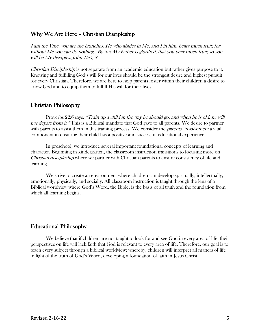#### Why We Are Here – Christian Discipleship

I am the Vine, you are the branches. He who abides in Me, and I in him, bears much fruit; for without Me you can do nothing...By this  $My$  Father is glorified, that you bear much fruit; so you will be My disciples. John 15:5, 8

Christian Discipleship is not separate from an academic education but rather gives purpose to it. Knowing and fulfilling God's will for our lives should be the strongest desire and highest pursuit for every Christian. Therefore, we are here to help parents foster within their children a desire to know God and to equip them to fulfill His will for their lives.

#### Christian Philosophy

Proverbs 22:6 says, "Train up <sup>a</sup> child in the way he should go: and when he is old, he will not depart from it." This is a Biblical mandate that God gave to all parents. We desire to partner with parents to assist them in this training process. We consider the *parents' involvement* a vital component in ensuring their child has a positive and successful educational experience.

In preschool, we introduce several important foundational concepts of learning and character. Beginning in kindergarten, the classroom instruction transitions to focusing more on Christian discipleship where we partner with Christian parents to ensure consistency of life and learning.

We strive to create an environment where children can develop spiritually, intellectually, emotionally, physically, and socially. All classroom instruction is taught through the lens of a Biblical worldview where God's Word, the Bible, is the basis of all truth and the foundation from which all learning begins.

#### Educational Philosophy

We believe that if children are not taught to look for and see God in every area of life, their perspectives on life will lack faith that God is relevant to every area of life. Therefore, our goal is to teach every subject through a biblical worldview; whereby, children will interpret all matters of life in light of the truth of God's Word, developing a foundation of faith in Jesus Christ.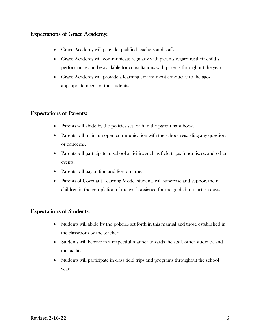#### Expectations of Grace Academy:

- Grace Academy will provide qualified teachers and staff.
- Grace Academy will communicate regularly with parents regarding their child's performance and be available for consultations with parents throughout the year.
- Grace Academy will provide a learning environment conducive to the ageappropriate needs of the students.

#### Expectations of Parents:

- Parents will abide by the policies set forth in the parent handbook.
- Parents will maintain open communication with the school regarding any questions or concerns.
- Parents will participate in school activities such as field trips, fundraisers, and other events.
- Parents will pay tuition and fees on time.
- Parents of Covenant Learning Model students will supervise and support their children in the completion of the work assigned for the guided instruction days.

#### Expectations of Students:

- Students will abide by the policies set forth in this manual and those established in the classroom by the teacher.
- Students will behave in a respectful manner towards the staff, other students, and the facility.
- Students will participate in class field trips and programs throughout the school year.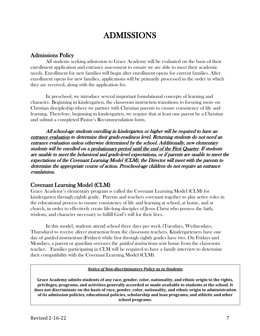## ADMISSIONS

#### Admissions Policy

All students seeking admission to Grace Academy will be evaluated on the basis of their enrollment application and entrance assessment to ensure we are able to meet their academic needs. Enrollment for new families will begin after enrollment opens for current families. After enrollment opens for new families, applications will be primarily processed in the order in which they are received, along with the application fee.

In preschool, we introduce several important foundational concepts of learning and character. Beginning in kindergarten, the classroom instruction transitions to focusing more on Christian discipleship where we partner with Christian parents to ensure consistency of life and learning. Therefore, beginning in kindergarten, we require that at least one parent be a Christian and submit a completed Pastor's Recommendation form.

All school-age students enrolling in kindergarten or higher will be required to have an entrance evaluation to determine their grade-readiness level. Returning students do not need an entrance evaluation unless otherwise determined by the school. Additionally, new elementary students will be enrolled on a probationary period until the end of the First Quarter. If students are unable to meet the behavioral and grade-level expectations, or if parents are unable to meet the expectations of the Covenant Learning Model (CLM), the Director will meet with the parents to determine the appropriate course of action. Preschool-age children do not require an entrance evanlatuion.

#### Covenant Learning Model (CLM)

Grace Academy's elementary program is called the Covenant Learning Model (CLM) for kindergarten through eighth grade. Parents and teachers covenant together to play active roles in the educational process to ensure consistency of life and learning at school, at home, and at church, in order to effectively create life-long disciples of Jesus Christ who possess the faith, wisdom, and character necessary to fulfill God's will for their lives.

In this model, students attend school three days per week (Tuesdays, Wednesdays, Thursdays) to receive *direct instruction* from the classroom teachers. Kindergarteners have one day of *guided instructions* (Fridays) while first through eighth grades have two. On Fridays and Mondays, a parent or guardian oversees the *guided instructions* sent home from the classroom teacher. Families participating in CLM will be required to have a family interview to determine their compatibility with the Covenant Learning Model (CLM).

*Notice of Non-discriminatory Policy as to Students*

**Grace Academy admits students of any race, gender, color, nationality, and ethnic origin to the rights, privileges, programs, and activities generally accorded or made available to students at the school. It does not discriminate on the basis of race, gender, color, nationality, and ethnic origin in administration of its admission policies, educational policies, scholarship and loan programs, and athletic and other school programs.**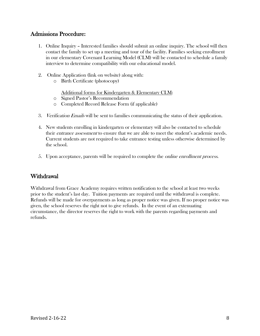#### Admissions Procedure:

- 1. Online Inquiry Interested families should submit an online inquiry. The school will then contact the family to set up a meeting and tour of the facility. Families seeking enrollment in our elementary Covenant Learning Model (CLM) will be contacted to schedule a family interview to determine compatibility with our educational model.
- 2. Online Application (link on website) along with:
	- o Birth Certificate (photocopy)

Additional forms for Kindergarten & Elementary CLM:

- o Signed Pastor's Recommendation
- o Completed Record Release Form (if applicable)
- 3. Verification Emails will be sent to families communicating the status of their application.
- 4. New students enrolling in kindergarten or elementary will also be contacted to schedule their *entrance assessment* to ensure that we are able to meet the student's academic needs. Current students are not required to take entrance testing unless otherwise determined by the school.
- 5. Upon acceptance, parents will be required to complete the online enrollment process.

#### Withdrawal

Withdrawal from Grace Academy requires written notification to the school at least two weeks prior to the student's last day. Tuition payments are required until the withdrawal is complete. Refunds will be made for overpayments as long as proper notice was given. If no proper notice was given, the school reserves the right not to give refunds. In the event of an extenuating circumstance, the director reserves the right to work with the parents regarding payments and refunds.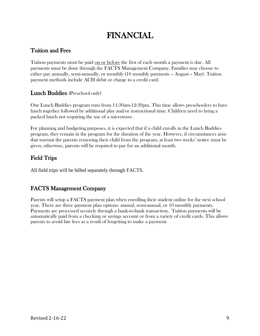## FINANCIAL

#### Tuition and Fees

Tuition payments must be paid on or before the first of each month a payment is due. All payments must be done through the FACTS Management Company. Families may choose to either pay annually, semi-annually, or monthly (10 monthly payments – August – May). Tuition payment methods include ACH debit or charge to a credit card.

#### Lunch Buddies (Preschool only)

Our Lunch Buddies program runs from 11:30am-12:30pm. This time allows preschoolers to have lunch together followed by additional play and/or instructional time. Children need to bring a packed lunch not requiring the use of a microwave.

For planning and budgeting purposes, it is expected that if a child enrolls in the Lunch Buddies program, they remain in the program for the duration of the year. However, if circumstances arise that warrant the parents removing their child from the program, at least two weeks' notice must be given, otherwise, parents will be required to pay for an additional month.

#### Field Trips

All field trips will be billed separately through FACTS.

#### FACTS Management Company

Parents will setup a FACTS payment plan when enrolling their student online for the next school year. There are three payment plan options: annual, semi-annual, or 10 monthly payments. Payments are processed securely through a bank-to-bank transaction. Tuition payments will be automatically paid from a checking or savings account or from a variety of credit cards. This allows parents to avoid late fees as a result of forgetting to make a payment.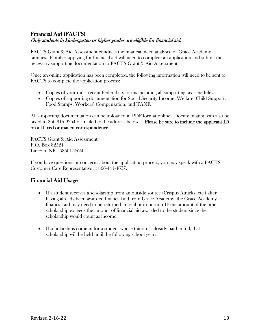#### Financial Aid (FACTS) Only students in kindergarten or higher grades are eligible for financial aid.

FACTS Grant & Aid Assessment conducts the financial need analysis for Grace Academy families. Families applying for financial aid will need to complete an application and submit the necessary supporting documentation to FACTS Grant & Aid Assessment.

Once an online application has been completed, the following information will need to be sent to FACTS to complete the application process:

- Copies of your most recent Federal tax forms including all supporting tax schedules.
- Copies of supporting documentation for Social Security Income, Welfare, Child Support, Food Stamps, Workers' Compensation, and TANF.

All supporting documentation can be uploaded in PDF format online. Documentation can also be faxed to 866-315-9264 or mailed to the address below. Please be sure to include the applicant ID on all faxed or mailed correspondence.

FACTS Grant & Aid Assessment P.O. Box 82524 Lincoln, NE 68501-2524

If you have questions or concerns about the application process, you may speak with a FACTS Customer Care Representative at 866-441-4637.

#### Financial Aid Usage

- If a student receives a scholarship from an outside source (Crispus Attucks, etc.) after having already been awarded financial aid from Grace Academy, the Grace Academy financial aid may need to be returned in total or in portion IF the amount of the other scholarship exceeds the amount of financial aid awarded to the student since the scholarship would count as income.
- If scholarships come in for a student whose tuition is already paid in full, that scholarship will be held until the following school year.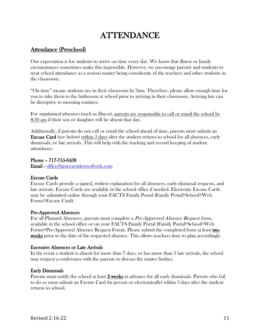## ATTENDANCE

#### Attendance (Preschool)

Our expectation is for students to arrive on time every day. We know that illness or family circumstances sometimes make this impossible. However, we encourage parents and students to treat school attendance as a serious matter being considerate of the teachers and other students in the classroom.

"On time" means students are in their classroom by 9am. Therefore, please allow enough time for you to take them to the bathroom at school prior to arriving in their classroom. Arriving late can be disruptive to morning routines.

For *unplanned absences* (such as illness), parents are responsible to call or email the school by 8:30 am if their son or daughter will be absent that day.

Additionally, if parents do not call or email the school ahead of time, parents must submit an Excuse Card (see below) within 3 days after the student returns to school for all absences, early dismissals, or late arrivals. This will help with the tracking and record keeping of student attendance.

Phone – 717-755-6438 Email - [office@graceacademyofyork.com](mailto:office@graceacademyofyork.com)

#### Excuse Cards

Excuse Cards provide a signed, written explanation for all absences, early dismissal requests, and late arrivals. Excuse Cards are available in the school office if needed. Electronic Excuse Cards may be submitted online through your FACTS Family Portal (Family Portal>School>Web Forms>Excuse Card).

#### Pre-Approved Absences

For all Planned Absences, parents must complete a Pre-Approved Absence Request form, available in the school office or on your FACTS Family Portal (Family Portal>School>Web Forms>Pre-Approved Absence Request Form). Please submit the completed form at least two weeks prior to the date of the requested absence. This allows teachers time to plan accordingly.

#### Excessive Absences or Late Arrivals

In the event a student is absent for more than 7 days, or has more than 3 late arrivals, the school may request a conference with the parents to discuss the matter further.

#### Early Dismissals

Parents must notify the school at least 2 weeks in advance for all early dismissals. Parents who fail to do so must submit an Excuse Card (in person or electronically) within 3 days after the student returns to school.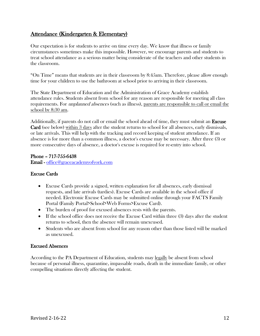#### Attendance (Kindergarten & Elementary)

Our expectation is for students to arrive on time every day. We know that illness or family circumstances sometimes make this impossible. However, we encourage parents and students to treat school attendance as a serious matter being considerate of the teachers and other students in the classroom.

"On Time" means that students are in their classroom by 8:45am. Therefore, please allow enough time for your children to use the bathroom at school prior to arriving in their classroom.

The State Department of Education and the Administration of Grace Academy establish attendance rules. Students absent from school for any reason are responsible for meeting all class requirements. For *unplanned absences* (such as illness), parents are responsible to call or email the school by 8:30 am.

Additionally, if parents do not call or email the school ahead of time, they must submit an Excuse Card (see below) within 3 days after the student returns to school for all absences, early dismissals, or late arrivals. This will help with the tracking and record keeping of student attendance. If an absence is for more than a common illness, a doctor's excuse may be necessary. After three (3) or more consecutive days of absence, a doctor's excuse is required for re-entry into school.

#### Phone – 717-755-6438

Email - [office@graceacademyofyork.com](mailto:office@graceacademyofyork.com)

#### Excuse Cards

- Excuse Cards provide a signed, written explanation for all absences, early dismissal requests, and late arrivals (tardies). Excuse Cards are available in the school office if needed. Electronic Excuse Cards may be submitted online through your FACTS Family Portal (Family Portal>School>Web Forms>Excuse Card).
- The burden of proof for excused absences rests with the parents.
- If the school office does not receive the Excuse Card within three (3) days after the student returns to school, then the absence will remain unexcused.
- Students who are absent from school for any reason other than those listed will be marked as unexcused.

#### Excused Absences

According to the PA Department of Education, students may legally be absent from school because of personal illness, quarantine, impassable roads, death in the immediate family, or other compelling situations directly affecting the student.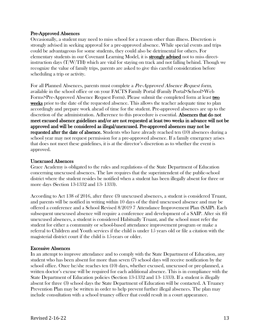#### Pre-Approved Absences

Occasionally, a student may need to miss school for a reason other than illness. Discretion is strongly advised in seeking approval for a pre-approved absence. While special events and trips could be advantageous for some students, they could also be detrimental for others. For elementary students in our Covenant Learning Model, it is strongly advised not to miss directinstruction days  $(T/W/TH)$  which are vital for staying on track and not falling behind. Though we recognize the value of family trips, parents are asked to give this careful consideration before scheduling a trip or activity.

For all Planned Absences, parents must complete a Pre-Approved Absence Request form, available in the school office or on your FACTS Family Portal (Family Portal>School>Web Forms>Pre-Approved Absence Request Form). Please submit the completed form at least two weeks prior to the date of the requested absence. This allows the teacher adequate time to plan accordingly and prepare work ahead of time for the student. Pre-approved absences are up to the discretion of the administration. Adherence to this procedure is essential. Absences that do not meet excused absence guidelines and/or are not requested at least two weeks in advance will not be approved and will be considered as illegal/unexcused. Pre-approved absences may not be requested after the date of absence. Students who have already reached ten (10) absences during a school year may not request permission for a pre-approved absence. If a family emergency arises that does not meet these guidelines, it is at the director's discretion as to whether the event is approved.

#### Unexcused Absences

Grace Academy is obligated to the rules and regulations of the State Department of Education concerning unexcused absences. The law requires that the superintendent of the public-school district where the student resides be notified when a student has been illegally absent for three or more days (Section 13-1332 and 13- 1333).

According to Act 138 of 2016, after three (3) unexcused absences, a student is considered Truant, and parents will be notified in writing within 10 days of the third unexcused absence and may be offered a conference and a School Revised 8/2019 7 Attendance Improvement Plan (SAIP). Each subsequent unexcused absence will require a conference and development of a SAIP. After six (6) unexcused absences, a student is considered Habitually Truant, and the school must refer the student for either a community or school-based attendance improvement program or make a referral to Children and Youth services if the child is under 15 years old or file a citation with the magisterial district court if the child is 15-years or older.

#### Excessive Absences

In an attempt to improve attendance and to comply with the State Department of Education, any student who has been absent for more than seven (7) school days will receive notification by the school office. Once he/she reaches ten (10) days, whether excused, unexcused or pre-planned, a written doctor's excuse will be required for each additional absence. This is in compliance with the State Department of Education policies (Section 13-1332 and 13- 1333). If a student is illegally absent for three (3) school days the State Department of Education will be contacted. A Truancy Prevention Plan may be written in order to help prevent further illegal absences. The plan may include consultation with a school truancy officer that could result in a court appearance.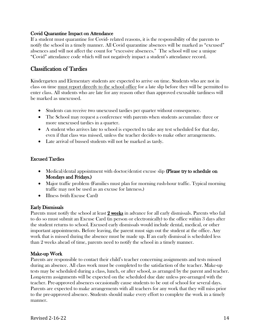#### Covid Quarantine Impact on Attendance

If a student must quarantine for Covid- related reasons, it is the responsibility of the parents to notify the school in a timely manner. All Covid quarantine absences will be marked as "excused" absences and will not affect the count for "excessive absences." The school will use a unique "Covid" attendance code which will not negatively impact a student's attendance record.

#### Classification of Tardies

Kindergarten and Elementary students are expected to arrive on time. Students who are not in class on time must report directly to the school office for a late slip before they will be permitted to enter class. All students who are late for any reason other than approved excusable tardiness will be marked as unexcused.

- Students can receive two unexcused tardies per quarter without consequence.
- The School may request a conference with parents when students accumulate three or more unexcused tardies in a quarter.
- A student who arrives late to school is expected to take any test scheduled for that day, even if that class was missed, unless the teacher decides to make other arrangements.
- Late arrival of bussed students will not be marked as tardy.

#### Excused Tardies

- Medical/dental appointment with doctor/dentist excuse slip (Please try to schedule on Mondays and Fridays.)
- Major traffic problem (Families must plan for morning rush-hour traffic. Typical morning traffic may not be used as an excuse for lateness.)
- Illness (with Excuse Card)

#### Early Dismissals

Parents must notify the school at least 2 weeks in advance for all early dismissals. Parents who fail to do so must submit an Excuse Card (in person or electronically) to the office within 3 days after the student returns to school. Excused early dismissals would include dental, medical, or other important appointments. Before leaving, the parent must sign out the student at the office. Any work that is missed during the absence must be made up. If an early dismissal is scheduled less than 2 weeks ahead of time, parents need to notify the school in a timely manner.

#### Make-up Work

Parents are responsible to contact their child's teacher concerning assignments and tests missed during an absence. All class work must be completed to the satisfaction of the teacher. Make-up tests may be scheduled during a class, lunch, or after school, as arranged by the parent and teacher. Long-term assignments will be expected on the scheduled due date unless pre-arranged with the teacher. Pre-approved absences occasionally cause students to be out of school for several days. Parents are expected to make arrangements with all teachers for any work that they will miss prior to the pre-approved absence. Students should make every effort to complete the work in a timely manner.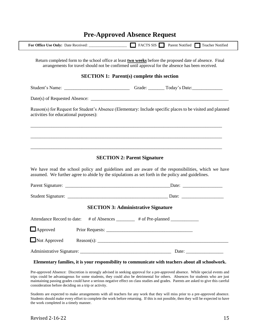|                                       | Return completed form to the school office at least <b>two weeks</b> before the proposed date of absence. Final<br>arrangements for travel should not be confirmed until approval for the absence has been received. |
|---------------------------------------|----------------------------------------------------------------------------------------------------------------------------------------------------------------------------------------------------------------------|
|                                       | <b>SECTION 1: Parent(s) complete this section</b>                                                                                                                                                                    |
|                                       |                                                                                                                                                                                                                      |
|                                       |                                                                                                                                                                                                                      |
| activities for educational purposes): | Reason(s) for Request for Student's Absence (Elementary: Include specific places to be visited and planned                                                                                                           |
|                                       |                                                                                                                                                                                                                      |
|                                       |                                                                                                                                                                                                                      |
|                                       |                                                                                                                                                                                                                      |
|                                       | <b>SECTION 2: Parent Signature</b>                                                                                                                                                                                   |
|                                       | assumed. We further agree to abide by the stipulations as set forth in the policy and guidelines.                                                                                                                    |
|                                       |                                                                                                                                                                                                                      |
|                                       |                                                                                                                                                                                                                      |
|                                       | <b>SECTION 3: Administrative Signature</b>                                                                                                                                                                           |
|                                       | Attendance Record to date: # of Absences _______ # of Pre-planned ______________                                                                                                                                     |
| $\Box$ Approved                       |                                                                                                                                                                                                                      |
| $\Box$ Not Approved                   | We have read the school policy and guidelines and are aware of the responsibilities, which we have<br>Reason(s): $\qquad \qquad$                                                                                     |

#### **Pre-Approved Absence Request**

#### **Elementary families, it is your responsibility to communicate with teachers about all schoolwork.**

Pre-approved Absence: Discretion is strongly advised in seeking approval for a pre-approved absence. While special events and trips could be advantageous for some students, they could also be detrimental for others. Absences for students who are just maintaining passing grades could have a serious negative effect on class studies and grades. Parents are asked to give this careful consideration before deciding on a trip or activity.

Students are expected to make arrangements with all teachers for any work that they will miss prior to a pre-approved absence. Students should make every effort to complete the work before returning. If this is not possible, then they will be expected to have the work completed in a timely manner.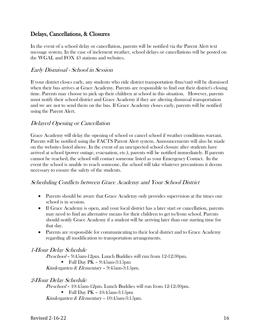#### Delays, Cancellations, & Closures

In the event of a school delay or cancellation, parents will be notified via the Parent Alert text message system. In the case of inclement weather, school delays or cancellations will be posted on the WGAL and FOX 43 stations and websites.

#### Early Dismissal - School in Session

If your district closes early, any students who ride district transportation (bus/van) will be dismissed when their bus arrives at Grace Academy. Parents are responsible to find out their district's closing time. Parents may choose to pick up their children at school in this situation. However, parents must notify their school district and Grace Academy if they are altering dismissal transportation and we are not to send them on the bus. If Grace Academy closes early, parents will be notified using the Parent Alert.

#### Delayed Opening or Cancellation

Grace Academy will delay the opening of school or cancel school if weather conditions warrant. Parents will be notified using the FACTS Parent Alert system. Announcements will also be made on the websites listed above. In the event of an unexpected school closure after students have arrived at school (power outage, evacuation, etc.), parents will be notified immediately. If parents cannot be reached, the school will contact someone listed as your Emergency Contact. In the event the school is unable to reach someone, the school will take whatever precautions it deems necessary to ensure the safety of the students.

#### Scheduling Conflicts between Grace Academy and Your School District

- Parents should be aware that Grace Academy only provides supervision at the times our school is in session.
- If Grace Academy is open, and your local district has a later start or cancellation, parents may need to find an alternative means for their children to get to/from school. Parents should notify Grace Academy if a student will be arriving later than our starting time for that day.
- Parents are responsible for communicating to their local district and to Grace Academy regarding all modification to transportation arrangements.

#### 1-Hour Delay Schedule

Preschool – 9:45am-12pm. Lunch Buddies will run from 12-12:30pm.

 $\blacksquare$  Full Day PK – 9:45am-3:15pm

Kindergarten & Elementary – 9:45am-3:15pm.

#### 2-Hour Delay Schedule

Preschool – 10:45am-12pm. Lunch Buddies will run from 12-12:30pm.  $\blacksquare$  Full Day PK – 10:45am-3:15pm Kindergarten & Elementary – 10:45am-3:15pm.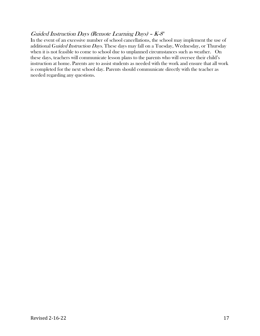#### Guided Instruction Days (Remote Learning Days) -  $K$ -8<sup>h</sup>

In the event of an excessive number of school cancellations, the school may implement the use of additional Guided Instruction Days. These days may fall on a Tuesday, Wednesday, or Thursday when it is not feasible to come to school due to unplanned circumstances such as weather. On these days, teachers will communicate lesson plans to the parents who will oversee their child's instruction at home. Parents are to assist students as needed with the work and ensure that all work is completed for the next school day. Parents should communicate directly with the teacher as needed regarding any questions.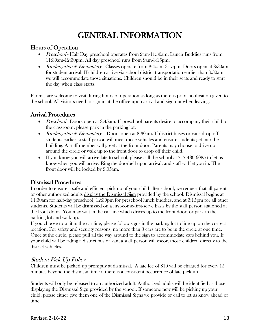## GENERAL INFORMATION

#### Hours of Operation

- *Preschool* Half Day preschool operates from 9am-11:30am. Lunch Buddies runs from 11:30am-12:30pm. All day preschool runs from 9am-3:15pm.
- Kindergarten & Elementary Classes operate from 8:45am-3:15pm. Doors open at 8:30am for student arrival. If children arrive via school district transportation earlier than 8:30am, we will accommodate those situations. Children should be in their seats and ready to start the day when class starts.

Parents are welcome to visit during hours of operation as long as there is prior notification given to the school. All visitors need to sign in at the office upon arrival and sign out when leaving.

#### Arrival Procedures

- *Preschool* Doors open at 8:45am. If preschool parents desire to accompany their child to the classroom, please park in the parking lot.
- Kindergarten & Elementary Doors open at 8:30am. If district buses or vans drop off students earlier, a staff person will meet those vehicles and ensure students get into the building. A staff member will greet at the front door. Parents may choose to drive up around the circle or walk up to the front door to drop off their child.
- If you know you will arrive late to school, please call the school at 717-430-6085 to let us know when you will arrive. Ring the doorbell upon arrival, and staff will let you in. The front door will be locked by 9:05am.

#### Dismissal Procedures

In order to ensure a safe and efficient pick up of your child after school, we request that all parents or other authorized adults display the Dismissal Sign provided by the school. Dismissal begins at 11:30am for half-day preschool, 12:30pm for preschool lunch buddies, and at 3:15pm for all other students. Students will be dismissed on a first-come-first-serve basis by the staff person stationed at the front door. You may wait in the car line which drives up to the front door, or park in the parking lot and walk up.

If you choose to wait in the car line, please follow signs in the parking lot to line up on the correct location. For safety and security reasons, no more than 3 cars are to be in the circle at one time. Once at the circle, please pull all the way around to the sign to accommodate cars behind you. If your child will be riding a district bus or van, a staff person will escort those children directly to the district vehicles.

#### Student Pick Up Policy

Children must be picked up promptly at dismissal. A late fee of \$10 will be charged for every 15 minutes beyond the dismissal time if there is a consistent occurrence of late pick-up.

Students will only be released to an authorized adult. Authorized adults will be identified as those displaying the Dismissal Sign provided by the school. If someone new will be picking up your child, please either give them one of the Dismissal Signs we provide or call to let us know ahead of time.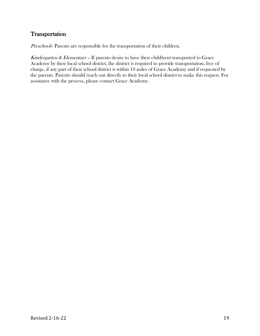#### **Transportation**

Preschool– Parents are responsible for the transportation of their children.

Kindergarten & Elementary - If parents desire to have their child(ren) transported to Grace Academy by their local school district, the district is required to provide transportation, free of charge, if any part of their school district is within 10 miles of Grace Academy and if requested by the parents. Parents should reach out directly to their local school district to make this request. For assistance with the process, please contact Grace Academy.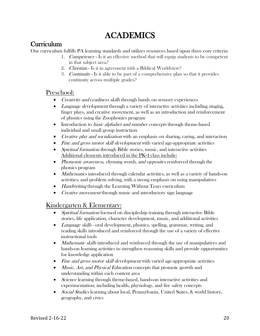## ACADEMICS

#### **Curriculum**

Our curriculum fulfills PA learning standards and utilizes resources based upon three core criteria:

- 1. Competency Is it an effective method that will equip students to be competent in that subject area?
- 2. Christian Is it in agreement with a Biblical Worldview?
- 3. Continuity Is it able to be part of a comprehensive plan so that it provides continuity across multiple grades?

#### Preschool:

- Creativity and readiness skills through hands on sensory experiences
- Language development through a variety of interactive activities including singing, finger plays, and creative movement, as well as an introduction and reinforcement of phonics using the Zoophonics program
- Introduction to *basic alphabet and number concepts* through theme-based individual and small group instruction
- *Creative play and socialization* with an emphasis on sharing, caring, and interaction
- Fine and gross motor skill development with varied age-appropriate activities
- Spiritual formation through Bible stories, music, and interactive activities Additional elements introduced in the PK-4 class include:
- Phonemic awareness, rhyming words, and opposites reinforced through the phonics program
- *Mathematics* introduced through calendar activities, as well as a variety of hands-on activities; and problem solving, with a strong emphasis on using manipulatives
- *Handwriting* through the Learning Without Tears curriculum
- *Creative movement* through music and introductory sign language

#### Kindergarten & Elementary:

- Spiritual formation focused on discipleship training through interactive Bible stories, life application, character development, music, and additional activities
- *Language skills* oral development, phonics, spelling, grammar, writing, and reading skills introduced and reinforced through the use of a variety of effective instructional tools
- *Mathematic skills* introduced and reinforced through the use of manipulatives and hands-on learning activities to strengthen reasoning skills and provide opportunities for knowledge application
- Fine and gross motor skill development with varied age-appropriate activities
- *Music, Art, and Physical Education* concepts that promote growth and understanding within each content area
- *Science* learning through theme-based, hands-on interactive activities and experimentation; including health, physiology, and fire safety concepts
- Social Studies learning about local, Pennsylvania, United States, & world history, geography, and civics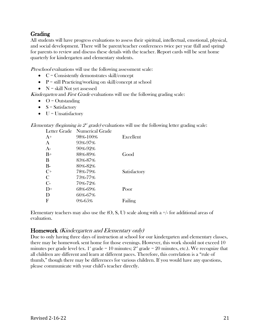#### Grading

All students will have progress evaluations to assess their spiritual, intellectual, emotional, physical, and social development. There will be parent/teacher conferences twice per year (fall and spring) for parents to review and discuss these details with the teacher. Report cards will be sent home quarterly for kindergarten and elementary students.

Preschool evaluations will use the following assessment scale:

- $\bullet$   $\phantom{a}$   $\phantom{a}$   $\phantom{a}$   $\phantom{a}$   $\phantom{a}$   $\phantom{a}$   $\phantom{a}$   $\phantom{a}$   $\phantom{a}$   $\phantom{a}$   $\phantom{a}$   $\phantom{a}$   $\phantom{a}$   $\phantom{a}$   $\phantom{a}$   $\phantom{a}$   $\phantom{a}$   $\phantom{a}$   $\phantom{a}$   $\phantom{a}$   $\phantom{a}$   $\phantom{a}$   $\phantom{a}$   $\phantom{a}$
- $\bullet$  P = still Practicing/working on skill/concept at school
- $N =$ skill Not yet assessed

Kindergarten and First Grade evaluations will use the following grading scale:

- $\bullet$  O = Outstanding
- $S = S$ atisfactory
- $\bullet$  U = Unsatisfactory

*Elementary (beginning in*  $2^d$  *grade)* evaluations will use the following letter grading scale:

| Letter Grade  | Numerical Grade |              |
|---------------|-----------------|--------------|
| $A+$          | 98%-100%        | Excellent    |
| A             | 93%-97%         |              |
| $A-$          | 90%-92%         |              |
| $B+$          | 88%-89%         | Good         |
| B             | 83%-87%         |              |
| $B-$          | 80%-82%         |              |
| $C^+$         | 78%-79%         | Satisfactory |
| $\mathcal{C}$ | 73%-77%         |              |
| $C$ -         | 70%-72%         |              |
| $D^+$         | 68%-69%         | Poor         |
| D             | 66%-67%         |              |
| F             | 0%-65%          | Failing      |
|               |                 |              |

Elementary teachers may also use the  $(O, S, U)$  scale along with a  $+/-$  for additional areas of evaluation.

#### Homework (Kindergarten and Elementary only)

Due to only having three days of instruction at school for our kindergarten and elementary classes, there may be homework sent home for those evenings. However, this work should not exceed 10 minutes per grade level (ex. 1<sup>st</sup> grade = 10 minutes;  $2<sup>nd</sup>$  grade = 20 minutes, etc.). We recognize that all children are different and learn at different paces. Therefore, this correlation is a "rule of thumb," though there may be differences for various children. If you would have any questions, please communicate with your child's teacher directly.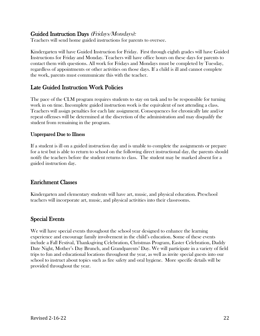#### Guided Instruction Days (Fridays/Mondays):

Teachers will send home guided instructions for parents to oversee.

Kindergarten will have Guided Instruction for Friday. First through eighth grades will have Guided Instructions for Friday and Monday. Teachers will have office hours on these days for parents to contact them with questions. All work for Fridays and Mondays must be completed by Tuesday, regardless of appointments or other activities on those days. If a child is ill and cannot complete the work, parents must communicate this with the teacher.

#### Late Guided Instruction Work Policies

The pace of the CLM program requires students to stay on task and to be responsible for turning work in on time. Incomplete guided instruction work is the equivalent of not attending a class. Teachers will assign penalties for each late assignment. Consequences for chronically late and/or repeat offenses will be determined at the discretion of the administration and may disqualify the student from remaining in the program.

#### Unprepared Due to Illness

If a student is ill on a guided instruction day and is unable to complete the assignments or prepare for a test but is able to return to school on the following direct instructional day, the parents should notify the teachers before the student returns to class. The student may be marked absent for a guided instruction day.

#### Enrichment Classes

Kindergarten and elementary students will have art, music, and physical education. Preschool teachers will incorporate art, music, and physical activities into their classrooms.

#### Special Events

We will have special events throughout the school year designed to enhance the learning experience and encourage family involvement in the child's education. Some of these events include a Fall Festival, Thanksgiving Celebration, Christmas Program, Easter Celebration, Daddy Date Night, Mother's Day Brunch, and Grandparents' Day. We will participate in a variety of field trips to fun and educational locations throughout the year, as well as invite special guests into our school to instruct about topics such as fire safety and oral hygiene. More specific details will be provided throughout the year.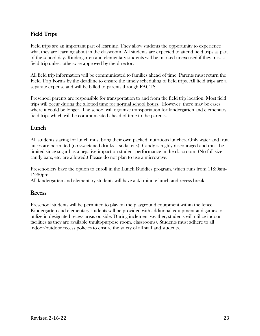#### Field Trips

Field trips are an important part of learning. They allow students the opportunity to experience what they are learning about in the classroom. All students are expected to attend field trips as part of the school day. Kindergarten and elementary students will be marked unexcused if they miss a field trip unless otherwise approved by the director.

All field trip information will be communicated to families ahead of time. Parents must return the Field Trip Forms by the deadline to ensure the timely scheduling of field trips. All field trips are a separate expense and will be billed to parents through FACTS.

Preschool parents are responsible for transportation to and from the field trip location. Most field trips will occur during the allotted time for normal school hours. However, there may be cases where it could be longer. The school will organize transportation for kindergarten and elementary field trips which will be communicated ahead of time to the parents.

#### Lunch

All students staying for lunch must bring their own packed, nutritious lunches. Only water and fruit juices are permitted (no sweetened drinks – soda, etc.). Candy is highly discouraged and must be limited since sugar has a negative impact on student performance in the classroom. (No full-size candy bars, etc. are allowed.) Please do not plan to use a microwave.

Preschoolers have the option to enroll in the Lunch Buddies program, which runs from 11:30am-12:30pm.

All kindergarten and elementary students will have a 45-minute lunch and recess break.

#### Recess

Preschool students will be permitted to play on the playground equipment within the fence. Kindergarten and elementary students will be provided with additional equipment and games to utilize in designated recess areas outside. During inclement weather, students will utilize indoor facilities as they are available (multi-purpose room, classrooms). Students must adhere to all indoor/outdoor recess policies to ensure the safety of all staff and students.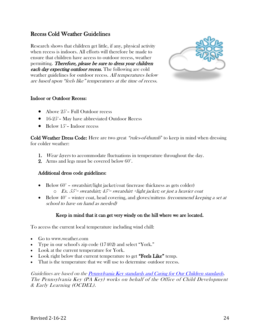#### Recess Cold Weather Guidelines

Research shows that children get little, if any, physical activity when recess is indoors. All efforts will therefore be made to ensure that children have access to outdoor recess, weather permitting. Therefore, please be sure to dress your children **each day expecting outdoor recess.** The following are cold weather guidelines for outdoor recess. All temperatures below are based upon "feels like" temperatures at the time of recess.



#### Indoor or Outdoor Recess:

- Above 25<sup>°</sup>– Full Outdoor recess
- 16-25°– May have abbreviated Outdoor Recess
- Below  $15^\circ$  Indoor recess

Cold Weather Dress Code: Here are two great "rules-of-thumb" to keep in mind when dressing for colder weather:

- 1. Wear layers to accommodate fluctuations in temperature throughout the day.
- 2. Arms and legs must be covered below 60°.

#### Additional dress code guidelines:

- Below  $60^\circ$  sweatshirt/light jacket/coat (increase thickness as gets colder)
	- $\circ$  Ex. 55<sup>°</sup>= sweatshirt; 45<sup>°</sup>= sweatshirt +light jacket; or just a heavier coat
- Below  $40^{\circ}$  winter coat, head covering, and gloves/mittens *(recommend keeping a set at* school to have on hand as needed)

#### Keep in mind that it can get very windy on the hill where we are located.

To access the current local temperature including wind chill:

- Go to www.weather.com
- Type in our school's zip code (17402) and select "York."
- Look at the current temperature for York.
- Look right below that current temperature to get "Feels Like" temp.
- That is the temperature that we will use to determine outdoor recess.

Guidelines are based on th[e Pennsylvania Key standards and Caring for Our Children standards.](https://www.pakeys.org/wp-content/uploads/2018/03/ECERS-R_PA_Position_Statements_2016-17.pdf) The Pennsylvania Key (PA Key) works on behalf of the Office of Child Development & Early Learning (OCDEL).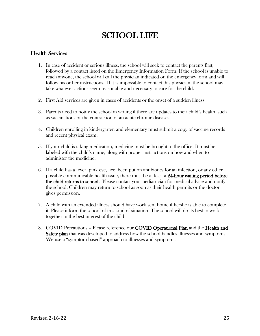## SCHOOL LIFE

#### Health Services

- 1. In case of accident or serious illness, the school will seek to contact the parents first, followed by a contact listed on the Emergency Information Form. If the school is unable to reach anyone, the school will call the physician indicated on the emergency form and will follow his or her instructions. If it is impossible to contact this physician, the school may take whatever actions seem reasonable and necessary to care for the child.
- 2. First Aid services are given in cases of accidents or the onset of a sudden illness.
- 3. Parents need to notify the school in writing if there are updates to their child's health, such as vaccinations or the contraction of an acute chronic disease.
- 4. Children enrolling in kindergarten and elementary must submit a copy of vaccine records and recent physical exam.
- 5. If your child is taking medication, medicine must be brought to the office. It must be labeled with the child's name, along with proper instructions on how and when to administer the medicine.
- 6. If a child has a fever, pink eye, lice, been put on antibiotics for an infection, or any other possible communicable health issue, there must be at least a 24-hour waiting period before the child returns to school. Please contact your pediatrician for medical advice and notify the school. Children may return to school as soon as their health permits or the doctor gives permission.
- 7. A child with an extended illness should have work sent home if he/she is able to complete it. Please inform the school of this kind of situation. The school will do its best to work together in the best interest of the child.
- 8. COVID Precautions Please reference our COVID Operational Plan and the Health and Safety plan that was developed to address how the school handles illnesses and symptoms. We use a "symptom-based" approach to illnesses and symptoms.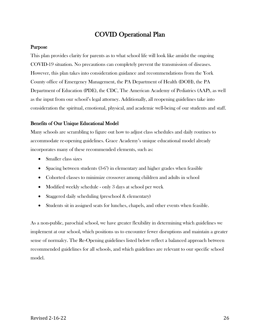#### COVID Operational Plan

#### Purpose

This plan provides clarity for parents as to what school life will look like amidst the ongoing COVID-19 situation. No precautions can completely prevent the transmission of diseases. However, this plan takes into consideration guidance and recommendations from the York County office of Emergency Management, the PA Department of Health (DOH), the PA Department of Education (PDE), the CDC, The American Academy of Pediatrics (AAP), as well as the input from our school's legal attorney. Additionally, all reopening guidelines take into consideration the spiritual, emotional, physical, and academic well-being of our students and staff.

#### Benefits of Our Unique Educational Model

Many schools are scrambling to figure out how to adjust class schedules and daily routines to accommodate re-opening guidelines. Grace Academy's unique educational model already incorporates many of these recommended elements, such as:

- Smaller class sizes
- Spacing between students (3-6<sup>\*</sup>) in elementary and higher grades when feasible
- Cohorted classes to minimize crossover among children and adults in school
- Modified weekly schedule only 3 days at school per week
- Staggered daily scheduling (preschool & elementary)
- Students sit in assigned seats for lunches, chapels, and other events when feasible.

As a non-public, parochial school, we have greater flexibility in determining which guidelines we implement at our school, which positions us to encounter fewer disruptions and maintain a greater sense of normalcy. The Re-Opening guidelines listed below reflect a balanced approach between recommended guidelines for all schools, and which guidelines are relevant to our specific school model.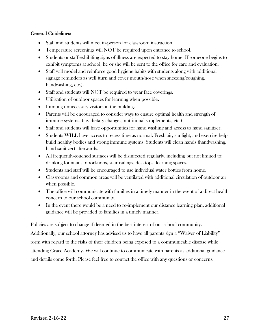#### General Guidelines:

- Staff and students will meet in-person for classroom instruction.
- Temperature screenings will NOT be required upon entrance to school.
- Students or staff exhibiting signs of illness are expected to stay home. If someone begins to exhibit symptoms at school, he or she will be sent to the office for care and evaluation.
- Staff will model and reinforce good hygiene habits with students along with additional signage reminders as well (turn and cover mouth/nose when sneezing/coughing, handwashing, etc.).
- Staff and students will NOT be required to wear face coverings.
- Utilization of outdoor spaces for learning when possible.
- Limiting unnecessary visitors in the building.
- Parents will be encouraged to consider ways to ensure optimal health and strength of immune systems. (i.e. dietary changes, nutritional supplements, etc.)
- Staff and students will have opportunities for hand washing and access to hand sanitizer.
- Students WILL have access to recess time as normal. Fresh air, sunlight, and exercise help build healthy bodies and strong immune systems. Students will clean hands (handwashing, hand sanitizer) afterwards.
- All frequently-touched surfaces will be disinfected regularly, including but not limited to: drinking fountains, doorknobs, stair railings, desktops, learning spaces.
- Students and staff will be encouraged to use individual water bottles from home.
- Classrooms and common areas will be ventilated with additional circulation of outdoor air when possible.
- The office will communicate with families in a timely manner in the event of a direct health concern to our school community.
- In the event there would be a need to re-implement our distance learning plan, additional guidance will be provided to families in a timely manner.

Policies are subject to change if deemed in the best interest of our school community. Additionally, our school attorney has advised us to have all parents sign a "Waiver of Liability" form with regard to the risks of their children being exposed to a communicable disease while attending Grace Academy. We will continue to communicate with parents as additional guidance

and details come forth. Please feel free to contact the office with any questions or concerns.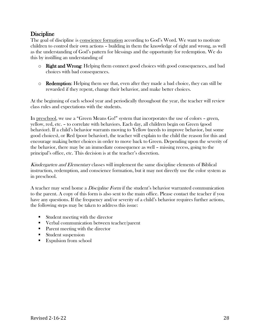#### **Discipline**

The goal of discipline is conscience formation according to God's Word. We want to motivate children to control their own actions – building in them the knowledge of right and wrong, as well as the understanding of God's pattern for blessings and the opportunity for redemption. We do this by instilling an understanding of

- $\circ$  **Right and Wrong:** Helping them connect good choices with good consequences, and bad choices with bad consequences.
- $\circ$  **Redemption:** Helping them see that, even after they made a bad choice, they can still be rewarded if they repent, change their behavior, and make better choices.

At the beginning of each school year and periodically throughout the year, the teacher will review class rules and expectations with the students.

In preschool, we use a "Green Means Go!" system that incorporates the use of colors - green, yellow, red, etc. – to correlate with behaviors. Each day, all children begin on Green (good behavior). If a child's behavior warrants moving to Yellow (needs to improve behavior, but some good choices), or Red (poor behavior), the teacher will explain to the child the reason for this and encourage making better choices in order to move back to Green. Depending upon the severity of the behavior, there may be an immediate consequence as well – missing recess, going to the principal's office, etc. This decision is at the teacher's discretion.

Kindergarten and Elementary classes will implement the same discipline elements of Biblical instruction, redemption, and conscience formation, but it may not directly use the color system as in preschool.

A teacher may send home a *Discipline Form* if the student's behavior warranted communication to the parent. A copy of this form is also sent to the main office. Please contact the teacher if you have any questions. If the frequency and/or severity of a child's behavior requires further actions, the following steps may be taken to address this issue:

- Student meeting with the director
- Verbal communication between teacher/parent
- Parent meeting with the director
- Student suspension
- Expulsion from school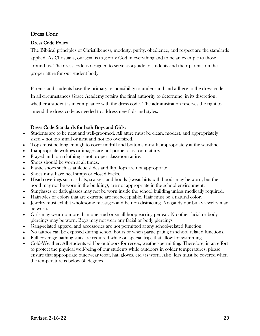#### Dress Code

#### Dress Code Policy

The Biblical principles of Christlikeness, modesty, purity, obedience, and respect are the standards applied. As Christians, our goal is to glorify God in everything and to be an example to those around us. The dress code is designed to serve as a guide to students and their parents on the proper attire for our student body.

Parents and students have the primary responsibility to understand and adhere to the dress code. In all circumstances Grace Academy retains the final authority to determine, in its discretion, whether a student is in compliance with the dress code. The administration reserves the right to amend the dress code as needed to address new fads and styles.

#### Dress Code Standards for both Boys and Girls:

- Students are to be neat and well-groomed. All attire must be clean, modest, and appropriately sized – not too small or tight and not too oversized.
- Tops must be long enough to cover midriff and bottoms must fit appropriately at the waistline.
- Inappropriate writings or images are not proper classroom attire.
- Frayed and torn clothing is not proper classroom attire.
- Shoes should be worn at all times.
- Plastic shoes such as athletic slides and flip flops are not appropriate.
- Shoes must have heel straps or closed backs.
- Head coverings such as hats, scarves, and hoods (sweatshirts with hoods may be worn, but the hood may not be worn in the building), are not appropriate in the school environment.
- Sunglasses or dark glasses may not be worn inside the school building unless medically required.
- Hairstyles or colors that are extreme are not acceptable. Hair must be a natural color.
- Jewelry must exhibit wholesome messages and be non-distracting. No gaudy our bulky jewelry may be worn.
- Girls may wear no more than one stud or small hoop earring per ear. No other facial or body piercings may be worn. Boys may not wear any facial or body piercings.
- Gang-related apparel and accessories are not permitted at any school-related function.
- No tattoos can be exposed during school hours or when participating in school related functions.
- Full-coverage bathing suits are required while on special trips that allow for swimming.
- Cold-Weather: All students will be outdoors for recess, weather-permitting. Therefore, in an effort to protect the physical well-being of our students while outdoors in colder temperatures, please ensure that appropriate outerwear (coat, hat, gloves, etc.) is worn. Also, legs must be covered when the temperature is below 60 degrees.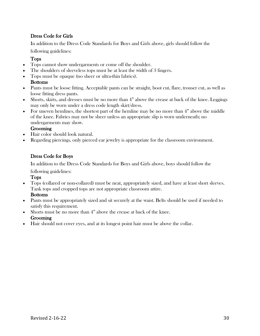#### Dress Code for Girls

In addition to the Dress Code Standards for Boys and Girls above, girls should follow the

following guidelines:

#### Tops

- Tops cannot show undergarments or come off the shoulder.
- The shoulders of sleeveless tops must be at least the width of 3 fingers.
- Tops must be opaque (no sheer or ultra-thin fabrics). Bottoms
- Pants must be loose fitting. Acceptable pants can be straight, boot cut, flare, trouser cut, as well as loose fitting dress pants.
- Shorts, skirts, and dresses must be no more than 4" above the crease at back of the knee. Leggings may only be worn under a dress code length skirt/dress.
- For uneven hemlines, the shortest part of the hemline may be no more than 4" above the middle of the knee. Fabrics may not be sheer unless an appropriate slip is worn underneath; no undergarments may show.

#### **Grooming**

- Hair color should look natural.
- Regarding piercings, only pierced ear jewelry is appropriate for the classroom environment.

#### Dress Code for Boys

In addition to the Dress Code Standards for Boys and Girls above, boys should follow the

#### following guidelines:

Tops

• Tops (collared or non-collared) must be neat, appropriately sized, and have at least short sleeves. Tank tops and cropped tops are not appropriate classroom attire.

#### Bottoms

- Pants must be appropriately sized and sit securely at the waist. Belts should be used if needed to satisfy this requirement.
- Shorts must be no more than 4" above the crease at back of the knee. Grooming
- Hair should not cover eyes, and at its longest point hair must be above the collar.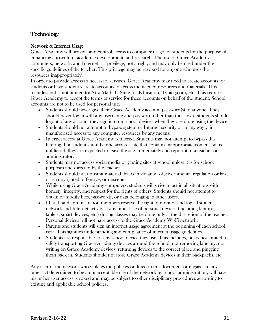#### **Technology**

#### Network & Internet Usage

Grace Academy will provide and control access to computer usage for students for the purpose of enhancing curriculum, academic development, and research. The use of Grace Academy computers, network, and Internet is a privilege, not a right, and may only be used under the specific guidelines of the teacher. This privilege may be revoked for anyone who uses the resources inappropriately.

In order to provide access to necessary services, Grace Academy may need to create accounts for students or have student's create accounts to access the needed resources and materials. This includes, but is not limited to: Xtra Math, G-Suite for Education, Typing.com, etc. This requires Grace Academy to accept the terms of service for these accounts on behalf of the student. School accounts are not to be used for personal use.

- Students should never give their Grace Academy account password(s) to anyone. They should never log in with any username and password other than their own. Students should logout of any account they sign into on school devices when they are done using the device.
- Students should not attempt to bypass system or Internet security or in any way gain unauthorized access to any computer resources by any means.
- Internet access at Grace Academy is filtered. Students may not attempt to bypass this filtering. If a student should come across a site that contains inappropriate content but is unfiltered, they are expected to leave the site immediately and report it to a teacher or administrator.
- Students may not access social media or gaming sites at school unless it is for school purposes and directed by the teacher.
- Students should not transmit material that is in violation of governmental regulation or law, or is copyrighted, offensive, or obscene.
- While using Grace Academy computers, students will strive to act in all situations with honesty, integrity, and respect for the rights of others. Students should not attempt to obtain or modify files, passwords, or data belonging to other users.
- IT staff and administration members reserve the right to monitor and log all student network and Internet activity at any time. Use of personal devices (including laptops, tablets, smart devices, etc.) during classes may be done only at the discretion of the teacher. Personal devices will not have access to the Grace Academy Wi-Fi network.
- Parents and students will sign an internet usage agreement at the beginning of each school year. This signifies understanding and compliance of internet usage guidelines.
- Students are responsible for any school device they use. This includes, but is not limited to, safely transporting Grace Academy devices around the school, not removing labeling, not writing on Grace Academy devices, returning devices to the correct place and plugging them back in. Students should not store Grace Academy devices in their backpacks, etc.

Any user of the network who violates the policies outlined in this document or engages in any other act determined to be an unacceptable use of the network by school administration, will have his or her user access revoked and may be subject to other disciplinary procedures according to existing and applicable school policies.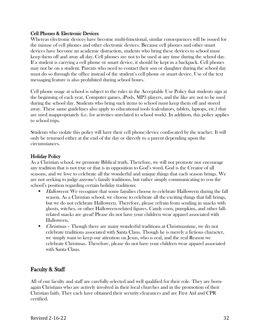#### Cell Phones & Electronic Devices

Whereas electronic devices have become multi-functional, similar consequences will be issued for the misuse of cell phones and other electronic devices. Because cell phones and other smart devices have become an academic distraction, students who bring these devices to school must keep them off and away all day. Cell phones are not to be used at any time during the school day. If a student is carrying a cell phone or smart device, it should be kept in a backpack. Cell phones may not be on a student. Parents who need to contact their son or daughter during the school day must do so through the office instead of the student's cell phone or smart device. Use of the text messaging feature is also prohibited during school hours.

Cell phone usage at school is subject to the rules in the Acceptable Use Policy that students sign at the beginning of each year. Computer games, iPods, MP3 players, and the like are not to be used during the school day. Students who bring such items to school must keep them off and stored away. These same guidelines also apply to educational tools (calculators, tablets, laptops, etc.) that are used inappropriately (i.e. for activities unrelated to school work). In addition, this policy applies to school trips.

Students who violate this policy will have their cell phone/device confiscated by the teacher. It will only be returned either at the end of the day or directly to a parent depending upon the circumstances.

#### Holiday Policy

As a Christian school, we promote Biblical truth. Therefore, we will not promote nor encourage any tradition that is not true or that is in opposition to God's word. God is the Creator of all seasons, and we love to celebrate all the wonderful and unique things that each season brings. We are not seeking to judge anyone's family traditions, but rather simply communicating to you the school's position regarding certain holiday traditions:

- *Halloween*: We recognize that some families choose to celebrate Halloween during the fall season. As a Christian school, we choose to celebrate all the exciting things that fall brings, but we do not celebrate Halloween. Therefore, please refrain from sending in snacks with ghosts, witches, or other Halloween-related figures. Candy corn, pumpkins, and other fallrelated snacks are great! Please do not have your children wear apparel associated with Halloween.
- *Christmas* Though there are many wonderful traditions at Christmastime, we do not celebrate traditions associated with Santa Claus. Though he is merely a fictious character, we simply want to keep our attention on Jesus, who is real, and the real Reason we celebrate Christmas. Therefore, please do not have your children wear apparel associated with Santa Claus.

#### Faculty & Staff

All of our faculty and staff are carefully selected and well qualified for their role. They are bornagain Christians who are actively involved in their local churches and in the promotion of their Christian faith. They each have obtained their security clearances and are First Aid and CPR certified.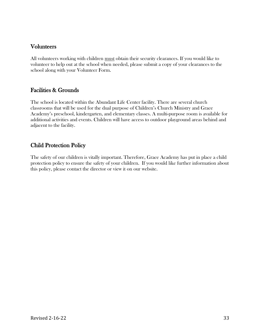#### Volunteers

All volunteers working with children must obtain their security clearances. If you would like to volunteer to help out at the school when needed, please submit a copy of your clearances to the school along with your Volunteer Form.

#### Facilities & Grounds

The school is located within the Abundant Life Center facility. There are several church classrooms that will be used for the dual purpose of Children's Church Ministry and Grace Academy's preschool, kindergarten, and elementary classes. A multi-purpose room is available for additional activities and events. Children will have access to outdoor playground areas behind and adjacent to the facility.

#### Child Protection Policy

The safety of our children is vitally important. Therefore, Grace Academy has put in place a child protection policy to ensure the safety of your children. If you would like further information about this policy, please contact the director or view it on our website.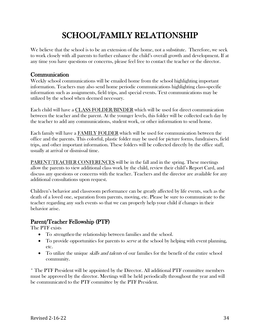## SCHOOL/FAMILY RELATIONSHIP

We believe that the school is to be an extension of the home, not a substitute. Therefore, we seek to work closely with all parents to further enhance the child's overall growth and development. If at any time you have questions or concerns, please feel free to contact the teacher or the director.

#### **Communication**

Weekly school communications will be emailed home from the school highlighting important information. Teachers may also send home periodic communications highlighting class-specific information such as assignments, field trips, and special events. Text communications may be utilized by the school when deemed necessary.

Each child will have a CLASS FOLDER/BINDER which will be used for direct communication between the teacher and the parent. At the younger levels, this folder will be collected each day by the teacher to add any communications, student work, or other information to send home.

Each family will have a FAMILY FOLDER which will be used for communication between the office and the parents. This colorful, plastic folder may be used for picture forms, fundraisers, field trips, and other important information. These folders will be collected directly by the office staff, usually at arrival or dismissal time.

PARENT/TEACHER CONFERENCES will be in the fall and in the spring. These meetings allow the parents to view additional class work by the child, review their child's Report Card, and discuss any questions or concerns with the teacher. Teachers and the director are available for any additional consultations upon request.

Children's behavior and classroom performance can be greatly affected by life events, such as the death of a loved one, separation from parents, moving, etc. Please be sure to communicate to the teacher regarding any such events so that we can properly help your child if changes in their behavior arise.

#### Parent/Teacher Fellowship (PTF)

The PTF exists

- To *strengthen* the relationship between families and the school.
- To provide opportunities for parents to *serve* at the school by helping with event planning, etc.
- To utilize the unique *skills and talents* of our families for the benefit of the entire school community.

\* The PTF President will be appointed by the Director. All additional PTF committee members must be approved by the director. Meetings will be held periodically throughout the year and will be communicated to the PTF committee by the PTF President.